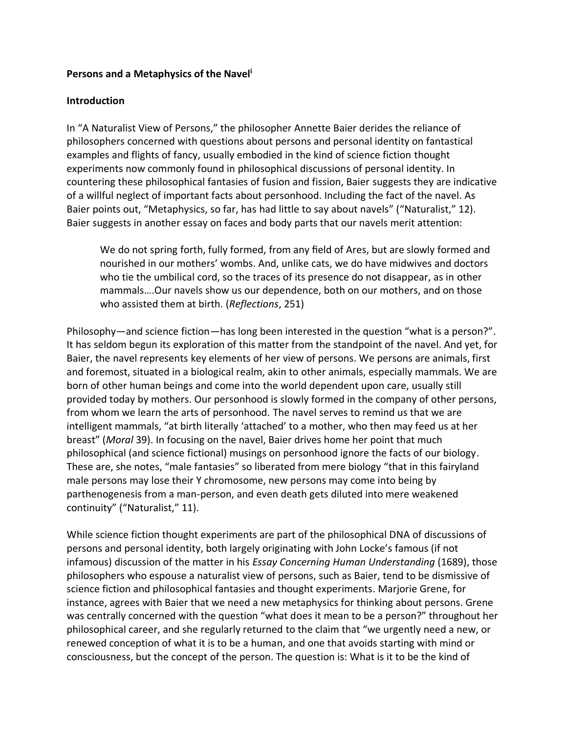#### **Persons and a Metaphysics of the Navel<sup>i</sup>**

#### **Introduction**

In "A Naturalist View of Persons," the philosopher Annette Baier derides the reliance of philosophers concerned with questions about persons and personal identity on fantastical examples and flights of fancy, usually embodied in the kind of science fiction thought experiments now commonly found in philosophical discussions of personal identity. In countering these philosophical fantasies of fusion and fission, Baier suggests they are indicative of a willful neglect of important facts about personhood. Including the fact of the navel. As Baier points out, "Metaphysics, so far, has had little to say about navels" ("Naturalist," 12). Baier suggests in another essay on faces and body parts that our navels merit attention:

We do not spring forth, fully formed, from any field of Ares, but are slowly formed and nourished in our mothers' wombs. And, unlike cats, we do have midwives and doctors who tie the umbilical cord, so the traces of its presence do not disappear, as in other mammals….Our navels show us our dependence, both on our mothers, and on those who assisted them at birth. (*Reflections*, 251)

Philosophy—and science fiction—has long been interested in the question "what is a person?". It has seldom begun its exploration of this matter from the standpoint of the navel. And yet, for Baier, the navel represents key elements of her view of persons. We persons are animals, first and foremost, situated in a biological realm, akin to other animals, especially mammals. We are born of other human beings and come into the world dependent upon care, usually still provided today by mothers. Our personhood is slowly formed in the company of other persons, from whom we learn the arts of personhood. The navel serves to remind us that we are intelligent mammals, "at birth literally 'attached' to a mother, who then may feed us at her breast" (*Moral* 39). In focusing on the navel, Baier drives home her point that much philosophical (and science fictional) musings on personhood ignore the facts of our biology. These are, she notes, "male fantasies" so liberated from mere biology "that in this fairyland male persons may lose their Y chromosome, new persons may come into being by parthenogenesis from a man-person, and even death gets diluted into mere weakened continuity" ("Naturalist," 11).

While science fiction thought experiments are part of the philosophical DNA of discussions of persons and personal identity, both largely originating with John Locke's famous (if not infamous) discussion of the matter in his *Essay Concerning Human Understanding* (1689), those philosophers who espouse a naturalist view of persons, such as Baier, tend to be dismissive of science fiction and philosophical fantasies and thought experiments. Marjorie Grene, for instance, agrees with Baier that we need a new metaphysics for thinking about persons. Grene was centrally concerned with the question "what does it mean to be a person?" throughout her philosophical career, and she regularly returned to the claim that "we urgently need a new, or renewed conception of what it is to be a human, and one that avoids starting with mind or consciousness, but the concept of the person. The question is: What is it to be the kind of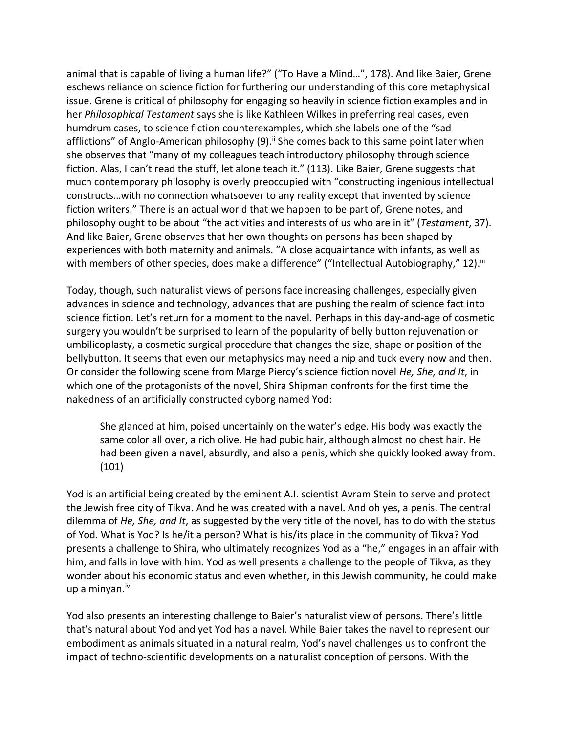animal that is capable of living a human life?" ("To Have a Mind…", 178). And like Baier, Grene eschews reliance on science fiction for furthering our understanding of this core metaphysical issue. Grene is critical of philosophy for engaging so heavily in science fiction examples and in her *Philosophical Testament* says she is like Kathleen Wilkes in preferring real cases, even humdrum cases, to science fiction counterexamples, which she labels one of the "sad afflictions" of Anglo-American philosophy (9).<sup>ii</sup> She comes back to this same point later when she observes that "many of my colleagues teach introductory philosophy through science fiction. Alas, I can't read the stuff, let alone teach it." (113). Like Baier, Grene suggests that much contemporary philosophy is overly preoccupied with "constructing ingenious intellectual constructs…with no connection whatsoever to any reality except that invented by science fiction writers." There is an actual world that we happen to be part of, Grene notes, and philosophy ought to be about "the activities and interests of us who are in it" (*Testament*, 37). And like Baier, Grene observes that her own thoughts on persons has been shaped by experiences with both maternity and animals. "A close acquaintance with infants, as well as with members of other species, does make a difference" ("Intellectual Autobiography," 12). $^{\text{iii}}$ 

Today, though, such naturalist views of persons face increasing challenges, especially given advances in science and technology, advances that are pushing the realm of science fact into science fiction. Let's return for a moment to the navel. Perhaps in this day-and-age of cosmetic surgery you wouldn't be surprised to learn of the popularity of belly button rejuvenation or umbilicoplasty, a cosmetic surgical procedure that changes the size, shape or position of the bellybutton. It seems that even our metaphysics may need a nip and tuck every now and then. Or consider the following scene from Marge Piercy's science fiction novel *He, She, and It*, in which one of the protagonists of the novel, Shira Shipman confronts for the first time the nakedness of an artificially constructed cyborg named Yod:

She glanced at him, poised uncertainly on the water's edge. His body was exactly the same color all over, a rich olive. He had pubic hair, although almost no chest hair. He had been given a navel, absurdly, and also a penis, which she quickly looked away from. (101)

Yod is an artificial being created by the eminent A.I. scientist Avram Stein to serve and protect the Jewish free city of Tikva. And he was created with a navel. And oh yes, a penis. The central dilemma of *He, She, and It*, as suggested by the very title of the novel, has to do with the status of Yod. What is Yod? Is he/it a person? What is his/its place in the community of Tikva? Yod presents a challenge to Shira, who ultimately recognizes Yod as a "he," engages in an affair with him, and falls in love with him. Yod as well presents a challenge to the people of Tikva, as they wonder about his economic status and even whether, in this Jewish community, he could make up a minyan. $iv$ 

Yod also presents an interesting challenge to Baier's naturalist view of persons. There's little that's natural about Yod and yet Yod has a navel. While Baier takes the navel to represent our embodiment as animals situated in a natural realm, Yod's navel challenges us to confront the impact of techno-scientific developments on a naturalist conception of persons. With the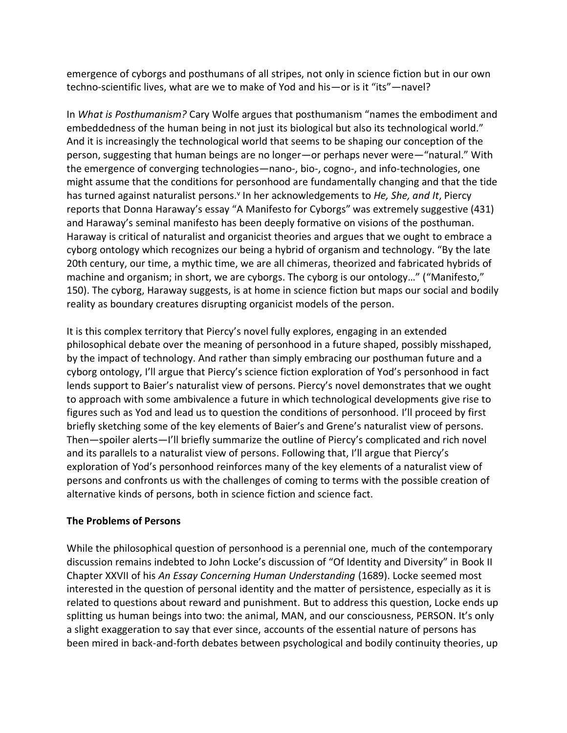emergence of cyborgs and posthumans of all stripes, not only in science fiction but in our own techno-scientific lives, what are we to make of Yod and his—or is it "its"—navel?

In *What is Posthumanism?* Cary Wolfe argues that posthumanism "names the embodiment and embeddedness of the human being in not just its biological but also its technological world." And it is increasingly the technological world that seems to be shaping our conception of the person, suggesting that human beings are no longer—or perhaps never were—"natural." With the emergence of converging technologies—nano-, bio-, cogno-, and info-technologies, one might assume that the conditions for personhood are fundamentally changing and that the tide has turned against naturalist persons.<sup>v</sup> In her acknowledgements to *He, She, and It*, Piercy reports that Donna Haraway's essay "A Manifesto for Cyborgs" was extremely suggestive (431) and Haraway's seminal manifesto has been deeply formative on visions of the posthuman. Haraway is critical of naturalist and organicist theories and argues that we ought to embrace a cyborg ontology which recognizes our being a hybrid of organism and technology. "By the late 20th century, our time, a mythic time, we are all chimeras, theorized and fabricated hybrids of machine and organism; in short, we are cyborgs. The cyborg is our ontology…" ("Manifesto," 150). The cyborg, Haraway suggests, is at home in science fiction but maps our social and bodily reality as boundary creatures disrupting organicist models of the person.

It is this complex territory that Piercy's novel fully explores, engaging in an extended philosophical debate over the meaning of personhood in a future shaped, possibly misshaped, by the impact of technology. And rather than simply embracing our posthuman future and a cyborg ontology, I'll argue that Piercy's science fiction exploration of Yod's personhood in fact lends support to Baier's naturalist view of persons. Piercy's novel demonstrates that we ought to approach with some ambivalence a future in which technological developments give rise to figures such as Yod and lead us to question the conditions of personhood. I'll proceed by first briefly sketching some of the key elements of Baier's and Grene's naturalist view of persons. Then—spoiler alerts—I'll briefly summarize the outline of Piercy's complicated and rich novel and its parallels to a naturalist view of persons. Following that, I'll argue that Piercy's exploration of Yod's personhood reinforces many of the key elements of a naturalist view of persons and confronts us with the challenges of coming to terms with the possible creation of alternative kinds of persons, both in science fiction and science fact.

# **The Problems of Persons**

While the philosophical question of personhood is a perennial one, much of the contemporary discussion remains indebted to John Locke's discussion of "Of Identity and Diversity" in Book II Chapter XXVII of his *An Essay Concerning Human Understanding* (1689). Locke seemed most interested in the question of personal identity and the matter of persistence, especially as it is related to questions about reward and punishment. But to address this question, Locke ends up splitting us human beings into two: the animal, MAN, and our consciousness, PERSON. It's only a slight exaggeration to say that ever since, accounts of the essential nature of persons has been mired in back-and-forth debates between psychological and bodily continuity theories, up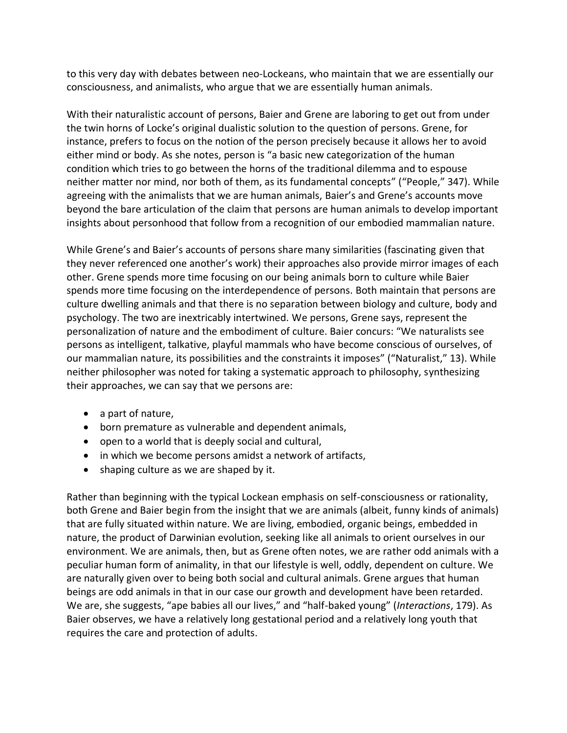to this very day with debates between neo-Lockeans, who maintain that we are essentially our consciousness, and animalists, who argue that we are essentially human animals.

With their naturalistic account of persons, Baier and Grene are laboring to get out from under the twin horns of Locke's original dualistic solution to the question of persons. Grene, for instance, prefers to focus on the notion of the person precisely because it allows her to avoid either mind or body. As she notes, person is "a basic new categorization of the human condition which tries to go between the horns of the traditional dilemma and to espouse neither matter nor mind, nor both of them, as its fundamental concepts" ("People," 347). While agreeing with the animalists that we are human animals, Baier's and Grene's accounts move beyond the bare articulation of the claim that persons are human animals to develop important insights about personhood that follow from a recognition of our embodied mammalian nature.

While Grene's and Baier's accounts of persons share many similarities (fascinating given that they never referenced one another's work) their approaches also provide mirror images of each other. Grene spends more time focusing on our being animals born to culture while Baier spends more time focusing on the interdependence of persons. Both maintain that persons are culture dwelling animals and that there is no separation between biology and culture, body and psychology. The two are inextricably intertwined. We persons, Grene says, represent the personalization of nature and the embodiment of culture. Baier concurs: "We naturalists see persons as intelligent, talkative, playful mammals who have become conscious of ourselves, of our mammalian nature, its possibilities and the constraints it imposes" ("Naturalist," 13). While neither philosopher was noted for taking a systematic approach to philosophy, synthesizing their approaches, we can say that we persons are:

- a part of nature,
- born premature as vulnerable and dependent animals,
- open to a world that is deeply social and cultural,
- in which we become persons amidst a network of artifacts,
- shaping culture as we are shaped by it.

Rather than beginning with the typical Lockean emphasis on self-consciousness or rationality, both Grene and Baier begin from the insight that we are animals (albeit, funny kinds of animals) that are fully situated within nature. We are living, embodied, organic beings, embedded in nature, the product of Darwinian evolution, seeking like all animals to orient ourselves in our environment. We are animals, then, but as Grene often notes, we are rather odd animals with a peculiar human form of animality, in that our lifestyle is well, oddly, dependent on culture. We are naturally given over to being both social and cultural animals. Grene argues that human beings are odd animals in that in our case our growth and development have been retarded. We are, she suggests, "ape babies all our lives," and "half-baked young" (*Interactions*, 179). As Baier observes, we have a relatively long gestational period and a relatively long youth that requires the care and protection of adults.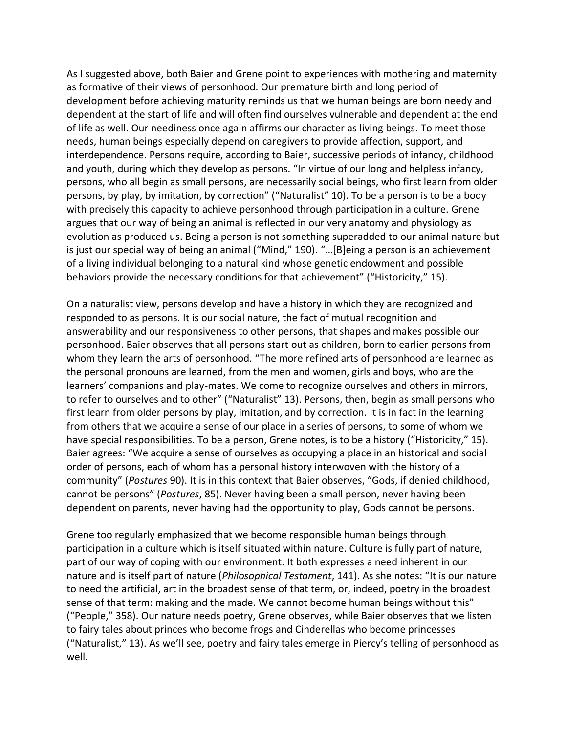As I suggested above, both Baier and Grene point to experiences with mothering and maternity as formative of their views of personhood. Our premature birth and long period of development before achieving maturity reminds us that we human beings are born needy and dependent at the start of life and will often find ourselves vulnerable and dependent at the end of life as well. Our neediness once again affirms our character as living beings. To meet those needs, human beings especially depend on caregivers to provide affection, support, and interdependence. Persons require, according to Baier, successive periods of infancy, childhood and youth, during which they develop as persons. "In virtue of our long and helpless infancy, persons, who all begin as small persons, are necessarily social beings, who first learn from older persons, by play, by imitation, by correction" ("Naturalist" 10). To be a person is to be a body with precisely this capacity to achieve personhood through participation in a culture. Grene argues that our way of being an animal is reflected in our very anatomy and physiology as evolution as produced us. Being a person is not something superadded to our animal nature but is just our special way of being an animal ("Mind," 190). "…[B]eing a person is an achievement of a living individual belonging to a natural kind whose genetic endowment and possible behaviors provide the necessary conditions for that achievement" ("Historicity," 15).

On a naturalist view, persons develop and have a history in which they are recognized and responded to as persons. It is our social nature, the fact of mutual recognition and answerability and our responsiveness to other persons, that shapes and makes possible our personhood. Baier observes that all persons start out as children, born to earlier persons from whom they learn the arts of personhood. "The more refined arts of personhood are learned as the personal pronouns are learned, from the men and women, girls and boys, who are the learners' companions and play-mates. We come to recognize ourselves and others in mirrors, to refer to ourselves and to other" ("Naturalist" 13). Persons, then, begin as small persons who first learn from older persons by play, imitation, and by correction. It is in fact in the learning from others that we acquire a sense of our place in a series of persons, to some of whom we have special responsibilities. To be a person, Grene notes, is to be a history ("Historicity," 15). Baier agrees: "We acquire a sense of ourselves as occupying a place in an historical and social order of persons, each of whom has a personal history interwoven with the history of a community" (*Postures* 90). It is in this context that Baier observes, "Gods, if denied childhood, cannot be persons" (*Postures*, 85). Never having been a small person, never having been dependent on parents, never having had the opportunity to play, Gods cannot be persons.

Grene too regularly emphasized that we become responsible human beings through participation in a culture which is itself situated within nature. Culture is fully part of nature, part of our way of coping with our environment. It both expresses a need inherent in our nature and is itself part of nature (*Philosophical Testament*, 141). As she notes: "It is our nature to need the artificial, art in the broadest sense of that term, or, indeed, poetry in the broadest sense of that term: making and the made. We cannot become human beings without this" ("People," 358). Our nature needs poetry, Grene observes, while Baier observes that we listen to fairy tales about princes who become frogs and Cinderellas who become princesses ("Naturalist," 13). As we'll see, poetry and fairy tales emerge in Piercy's telling of personhood as well.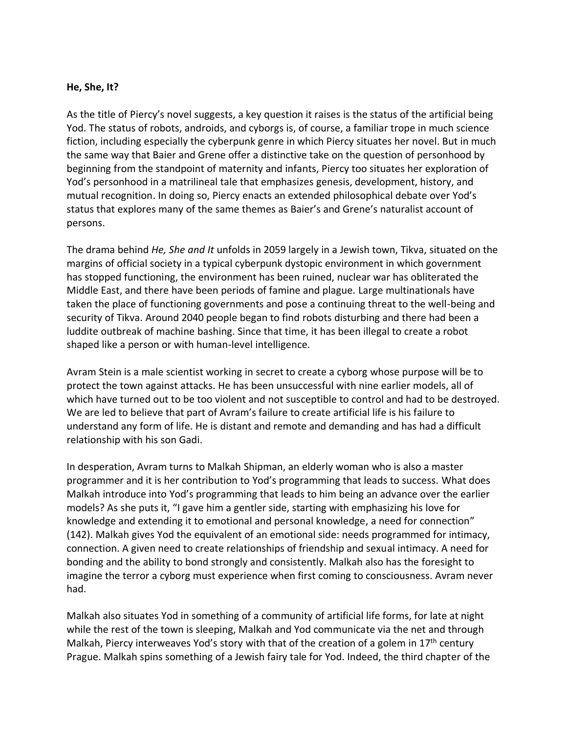#### **He, She, It?**

As the title of Piercy's novel suggests, a key question it raises is the status of the artificial being Yod. The status of robots, androids, and cyborgs is, of course, a familiar trope in much science fiction, including especially the cyberpunk genre in which Piercy situates her novel. But in much the same way that Baier and Grene offer a distinctive take on the question of personhood by beginning from the standpoint of maternity and infants, Piercy too situates her exploration of Yod's personhood in a matrilineal tale that emphasizes genesis, development, history, and mutual recognition. In doing so, Piercy enacts an extended philosophical debate over Yod's status that explores many of the same themes as Baier's and Grene's naturalist account of persons.

The drama behind *He, She and It* unfolds in 2059 largely in a Jewish town, Tikva, situated on the margins of official society in a typical cyberpunk dystopic environment in which government has stopped functioning, the environment has been ruined, nuclear war has obliterated the Middle East, and there have been periods of famine and plague. Large multinationals have taken the place of functioning governments and pose a continuing threat to the well-being and security of Tikva. Around 2040 people began to find robots disturbing and there had been a luddite outbreak of machine bashing. Since that time, it has been illegal to create a robot shaped like a person or with human-level intelligence.

Avram Stein is a male scientist working in secret to create a cyborg whose purpose will be to protect the town against attacks. He has been unsuccessful with nine earlier models, all of which have turned out to be too violent and not susceptible to control and had to be destroyed. We are led to believe that part of Avram's failure to create artificial life is his failure to understand any form of life. He is distant and remote and demanding and has had a difficult relationship with his son Gadi.

In desperation, Avram turns to Malkah Shipman, an elderly woman who is also a master programmer and it is her contribution to Yod's programming that leads to success. What does Malkah introduce into Yod's programming that leads to him being an advance over the earlier models? As she puts it, "I gave him a gentler side, starting with emphasizing his love for knowledge and extending it to emotional and personal knowledge, a need for connection" (142). Malkah gives Yod the equivalent of an emotional side: needs programmed for intimacy, connection. A given need to create relationships of friendship and sexual intimacy. A need for bonding and the ability to bond strongly and consistently. Malkah also has the foresight to imagine the terror a cyborg must experience when first coming to consciousness. Avram never had.

Malkah also situates Yod in something of a community of artificial life forms, for late at night while the rest of the town is sleeping, Malkah and Yod communicate via the net and through Malkah, Piercy interweaves Yod's story with that of the creation of a golem in 17<sup>th</sup> century Prague. Malkah spins something of a Jewish fairy tale for Yod. Indeed, the third chapter of the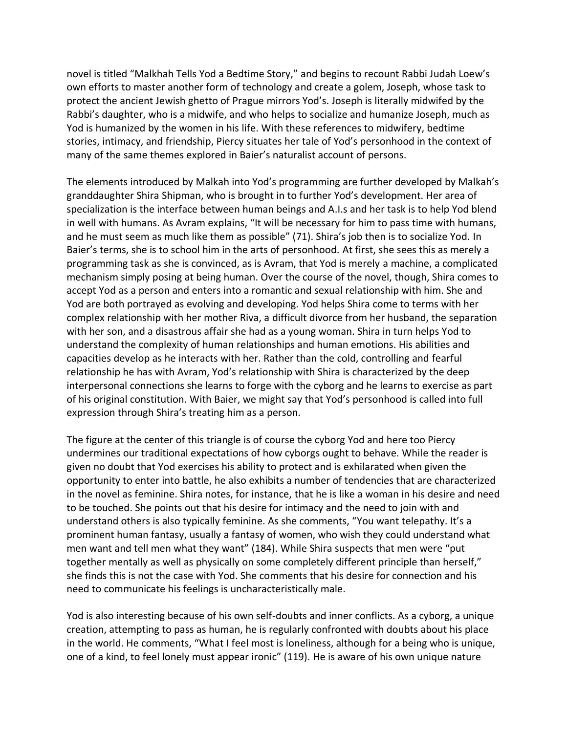novel is titled "Malkhah Tells Yod a Bedtime Story," and begins to recount Rabbi Judah Loew's own efforts to master another form of technology and create a golem, Joseph, whose task to protect the ancient Jewish ghetto of Prague mirrors Yod's. Joseph is literally midwifed by the Rabbi's daughter, who is a midwife, and who helps to socialize and humanize Joseph, much as Yod is humanized by the women in his life. With these references to midwifery, bedtime stories, intimacy, and friendship, Piercy situates her tale of Yod's personhood in the context of many of the same themes explored in Baier's naturalist account of persons.

The elements introduced by Malkah into Yod's programming are further developed by Malkah's granddaughter Shira Shipman, who is brought in to further Yod's development. Her area of specialization is the interface between human beings and A.I.s and her task is to help Yod blend in well with humans. As Avram explains, "It will be necessary for him to pass time with humans, and he must seem as much like them as possible" (71). Shira's job then is to socialize Yod. In Baier's terms, she is to school him in the arts of personhood. At first, she sees this as merely a programming task as she is convinced, as is Avram, that Yod is merely a machine, a complicated mechanism simply posing at being human. Over the course of the novel, though, Shira comes to accept Yod as a person and enters into a romantic and sexual relationship with him. She and Yod are both portrayed as evolving and developing. Yod helps Shira come to terms with her complex relationship with her mother Riva, a difficult divorce from her husband, the separation with her son, and a disastrous affair she had as a young woman. Shira in turn helps Yod to understand the complexity of human relationships and human emotions. His abilities and capacities develop as he interacts with her. Rather than the cold, controlling and fearful relationship he has with Avram, Yod's relationship with Shira is characterized by the deep interpersonal connections she learns to forge with the cyborg and he learns to exercise as part of his original constitution. With Baier, we might say that Yod's personhood is called into full expression through Shira's treating him as a person.

The figure at the center of this triangle is of course the cyborg Yod and here too Piercy undermines our traditional expectations of how cyborgs ought to behave. While the reader is given no doubt that Yod exercises his ability to protect and is exhilarated when given the opportunity to enter into battle, he also exhibits a number of tendencies that are characterized in the novel as feminine. Shira notes, for instance, that he is like a woman in his desire and need to be touched. She points out that his desire for intimacy and the need to join with and understand others is also typically feminine. As she comments, "You want telepathy. It's a prominent human fantasy, usually a fantasy of women, who wish they could understand what men want and tell men what they want" (184). While Shira suspects that men were "put together mentally as well as physically on some completely different principle than herself," she finds this is not the case with Yod. She comments that his desire for connection and his need to communicate his feelings is uncharacteristically male.

Yod is also interesting because of his own self-doubts and inner conflicts. As a cyborg, a unique creation, attempting to pass as human, he is regularly confronted with doubts about his place in the world. He comments, "What I feel most is loneliness, although for a being who is unique, one of a kind, to feel lonely must appear ironic" (119). He is aware of his own unique nature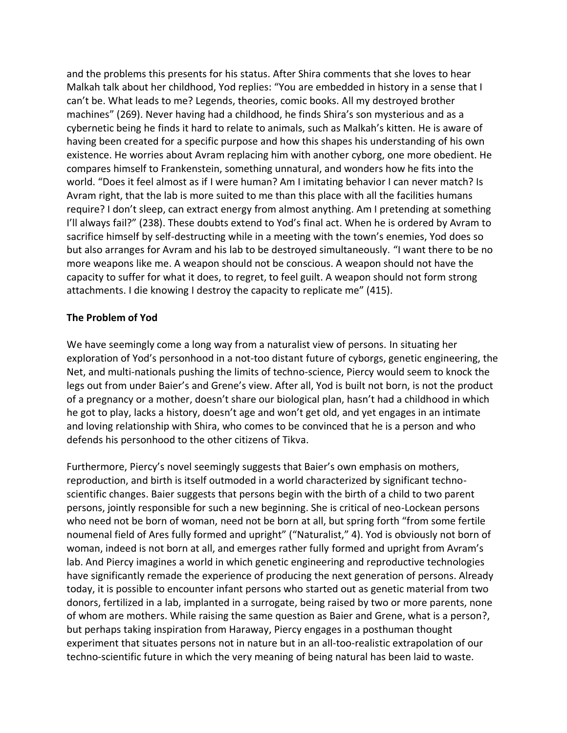and the problems this presents for his status. After Shira comments that she loves to hear Malkah talk about her childhood, Yod replies: "You are embedded in history in a sense that I can't be. What leads to me? Legends, theories, comic books. All my destroyed brother machines" (269). Never having had a childhood, he finds Shira's son mysterious and as a cybernetic being he finds it hard to relate to animals, such as Malkah's kitten. He is aware of having been created for a specific purpose and how this shapes his understanding of his own existence. He worries about Avram replacing him with another cyborg, one more obedient. He compares himself to Frankenstein, something unnatural, and wonders how he fits into the world. "Does it feel almost as if I were human? Am I imitating behavior I can never match? Is Avram right, that the lab is more suited to me than this place with all the facilities humans require? I don't sleep, can extract energy from almost anything. Am I pretending at something I'll always fail?" (238). These doubts extend to Yod's final act. When he is ordered by Avram to sacrifice himself by self-destructing while in a meeting with the town's enemies, Yod does so but also arranges for Avram and his lab to be destroyed simultaneously. "I want there to be no more weapons like me. A weapon should not be conscious. A weapon should not have the capacity to suffer for what it does, to regret, to feel guilt. A weapon should not form strong attachments. I die knowing I destroy the capacity to replicate me" (415).

### **The Problem of Yod**

We have seemingly come a long way from a naturalist view of persons. In situating her exploration of Yod's personhood in a not-too distant future of cyborgs, genetic engineering, the Net, and multi-nationals pushing the limits of techno-science, Piercy would seem to knock the legs out from under Baier's and Grene's view. After all, Yod is built not born, is not the product of a pregnancy or a mother, doesn't share our biological plan, hasn't had a childhood in which he got to play, lacks a history, doesn't age and won't get old, and yet engages in an intimate and loving relationship with Shira, who comes to be convinced that he is a person and who defends his personhood to the other citizens of Tikva.

Furthermore, Piercy's novel seemingly suggests that Baier's own emphasis on mothers, reproduction, and birth is itself outmoded in a world characterized by significant technoscientific changes. Baier suggests that persons begin with the birth of a child to two parent persons, jointly responsible for such a new beginning. She is critical of neo-Lockean persons who need not be born of woman, need not be born at all, but spring forth "from some fertile noumenal field of Ares fully formed and upright" ("Naturalist," 4). Yod is obviously not born of woman, indeed is not born at all, and emerges rather fully formed and upright from Avram's lab. And Piercy imagines a world in which genetic engineering and reproductive technologies have significantly remade the experience of producing the next generation of persons. Already today, it is possible to encounter infant persons who started out as genetic material from two donors, fertilized in a lab, implanted in a surrogate, being raised by two or more parents, none of whom are mothers. While raising the same question as Baier and Grene, what is a person?, but perhaps taking inspiration from Haraway, Piercy engages in a posthuman thought experiment that situates persons not in nature but in an all-too-realistic extrapolation of our techno-scientific future in which the very meaning of being natural has been laid to waste.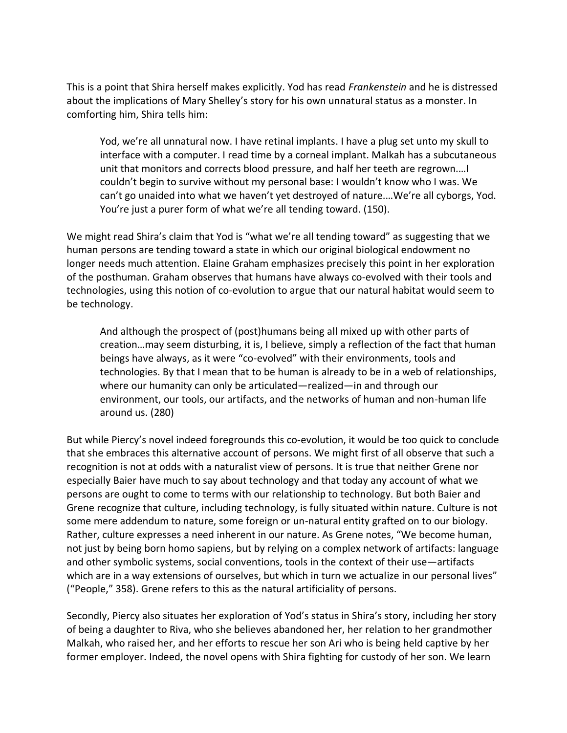This is a point that Shira herself makes explicitly. Yod has read *Frankenstein* and he is distressed about the implications of Mary Shelley's story for his own unnatural status as a monster. In comforting him, Shira tells him:

Yod, we're all unnatural now. I have retinal implants. I have a plug set unto my skull to interface with a computer. I read time by a corneal implant. Malkah has a subcutaneous unit that monitors and corrects blood pressure, and half her teeth are regrown.…I couldn't begin to survive without my personal base: I wouldn't know who I was. We can't go unaided into what we haven't yet destroyed of nature.…We're all cyborgs, Yod. You're just a purer form of what we're all tending toward. (150).

We might read Shira's claim that Yod is "what we're all tending toward" as suggesting that we human persons are tending toward a state in which our original biological endowment no longer needs much attention. Elaine Graham emphasizes precisely this point in her exploration of the posthuman. Graham observes that humans have always co-evolved with their tools and technologies, using this notion of co-evolution to argue that our natural habitat would seem to be technology.

And although the prospect of (post)humans being all mixed up with other parts of creation…may seem disturbing, it is, I believe, simply a reflection of the fact that human beings have always, as it were "co-evolved" with their environments, tools and technologies. By that I mean that to be human is already to be in a web of relationships, where our humanity can only be articulated—realized—in and through our environment, our tools, our artifacts, and the networks of human and non-human life around us. (280)

But while Piercy's novel indeed foregrounds this co-evolution, it would be too quick to conclude that she embraces this alternative account of persons. We might first of all observe that such a recognition is not at odds with a naturalist view of persons. It is true that neither Grene nor especially Baier have much to say about technology and that today any account of what we persons are ought to come to terms with our relationship to technology. But both Baier and Grene recognize that culture, including technology, is fully situated within nature. Culture is not some mere addendum to nature, some foreign or un-natural entity grafted on to our biology. Rather, culture expresses a need inherent in our nature. As Grene notes, "We become human, not just by being born homo sapiens, but by relying on a complex network of artifacts: language and other symbolic systems, social conventions, tools in the context of their use—artifacts which are in a way extensions of ourselves, but which in turn we actualize in our personal lives" ("People," 358). Grene refers to this as the natural artificiality of persons.

Secondly, Piercy also situates her exploration of Yod's status in Shira's story, including her story of being a daughter to Riva, who she believes abandoned her, her relation to her grandmother Malkah, who raised her, and her efforts to rescue her son Ari who is being held captive by her former employer. Indeed, the novel opens with Shira fighting for custody of her son. We learn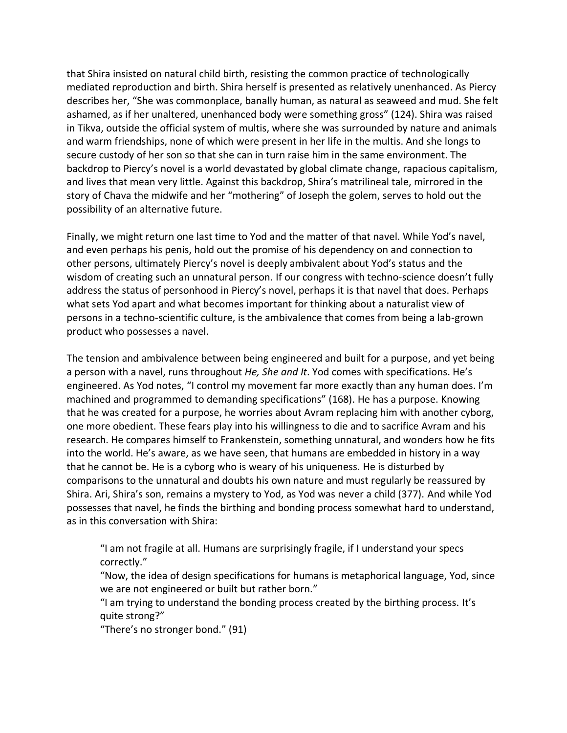that Shira insisted on natural child birth, resisting the common practice of technologically mediated reproduction and birth. Shira herself is presented as relatively unenhanced. As Piercy describes her, "She was commonplace, banally human, as natural as seaweed and mud. She felt ashamed, as if her unaltered, unenhanced body were something gross" (124). Shira was raised in Tikva, outside the official system of multis, where she was surrounded by nature and animals and warm friendships, none of which were present in her life in the multis. And she longs to secure custody of her son so that she can in turn raise him in the same environment. The backdrop to Piercy's novel is a world devastated by global climate change, rapacious capitalism, and lives that mean very little. Against this backdrop, Shira's matrilineal tale, mirrored in the story of Chava the midwife and her "mothering" of Joseph the golem, serves to hold out the possibility of an alternative future.

Finally, we might return one last time to Yod and the matter of that navel. While Yod's navel, and even perhaps his penis, hold out the promise of his dependency on and connection to other persons, ultimately Piercy's novel is deeply ambivalent about Yod's status and the wisdom of creating such an unnatural person. If our congress with techno-science doesn't fully address the status of personhood in Piercy's novel, perhaps it is that navel that does. Perhaps what sets Yod apart and what becomes important for thinking about a naturalist view of persons in a techno-scientific culture, is the ambivalence that comes from being a lab-grown product who possesses a navel.

The tension and ambivalence between being engineered and built for a purpose, and yet being a person with a navel, runs throughout *He, She and It*. Yod comes with specifications. He's engineered. As Yod notes, "I control my movement far more exactly than any human does. I'm machined and programmed to demanding specifications" (168). He has a purpose. Knowing that he was created for a purpose, he worries about Avram replacing him with another cyborg, one more obedient. These fears play into his willingness to die and to sacrifice Avram and his research. He compares himself to Frankenstein, something unnatural, and wonders how he fits into the world. He's aware, as we have seen, that humans are embedded in history in a way that he cannot be. He is a cyborg who is weary of his uniqueness. He is disturbed by comparisons to the unnatural and doubts his own nature and must regularly be reassured by Shira. Ari, Shira's son, remains a mystery to Yod, as Yod was never a child (377). And while Yod possesses that navel, he finds the birthing and bonding process somewhat hard to understand, as in this conversation with Shira:

"I am not fragile at all. Humans are surprisingly fragile, if I understand your specs correctly."

"Now, the idea of design specifications for humans is metaphorical language, Yod, since we are not engineered or built but rather born."

"I am trying to understand the bonding process created by the birthing process. It's quite strong?"

"There's no stronger bond." (91)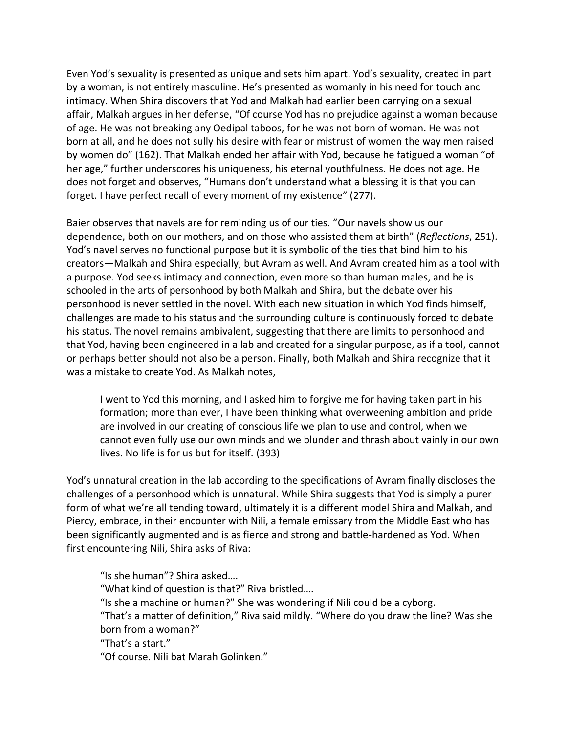Even Yod's sexuality is presented as unique and sets him apart. Yod's sexuality, created in part by a woman, is not entirely masculine. He's presented as womanly in his need for touch and intimacy. When Shira discovers that Yod and Malkah had earlier been carrying on a sexual affair, Malkah argues in her defense, "Of course Yod has no prejudice against a woman because of age. He was not breaking any Oedipal taboos, for he was not born of woman. He was not born at all, and he does not sully his desire with fear or mistrust of women the way men raised by women do" (162). That Malkah ended her affair with Yod, because he fatigued a woman "of her age," further underscores his uniqueness, his eternal youthfulness. He does not age. He does not forget and observes, "Humans don't understand what a blessing it is that you can forget. I have perfect recall of every moment of my existence" (277).

Baier observes that navels are for reminding us of our ties. "Our navels show us our dependence, both on our mothers, and on those who assisted them at birth" (*Reflections*, 251). Yod's navel serves no functional purpose but it is symbolic of the ties that bind him to his creators—Malkah and Shira especially, but Avram as well. And Avram created him as a tool with a purpose. Yod seeks intimacy and connection, even more so than human males, and he is schooled in the arts of personhood by both Malkah and Shira, but the debate over his personhood is never settled in the novel. With each new situation in which Yod finds himself, challenges are made to his status and the surrounding culture is continuously forced to debate his status. The novel remains ambivalent, suggesting that there are limits to personhood and that Yod, having been engineered in a lab and created for a singular purpose, as if a tool, cannot or perhaps better should not also be a person. Finally, both Malkah and Shira recognize that it was a mistake to create Yod. As Malkah notes,

I went to Yod this morning, and I asked him to forgive me for having taken part in his formation; more than ever, I have been thinking what overweening ambition and pride are involved in our creating of conscious life we plan to use and control, when we cannot even fully use our own minds and we blunder and thrash about vainly in our own lives. No life is for us but for itself. (393)

Yod's unnatural creation in the lab according to the specifications of Avram finally discloses the challenges of a personhood which is unnatural. While Shira suggests that Yod is simply a purer form of what we're all tending toward, ultimately it is a different model Shira and Malkah, and Piercy, embrace, in their encounter with Nili, a female emissary from the Middle East who has been significantly augmented and is as fierce and strong and battle-hardened as Yod. When first encountering Nili, Shira asks of Riva:

"Is she human"? Shira asked…. "What kind of question is that?" Riva bristled…. "Is she a machine or human?" She was wondering if Nili could be a cyborg. "That's a matter of definition," Riva said mildly. "Where do you draw the line? Was she born from a woman?" "That's a start." "Of course. Nili bat Marah Golinken."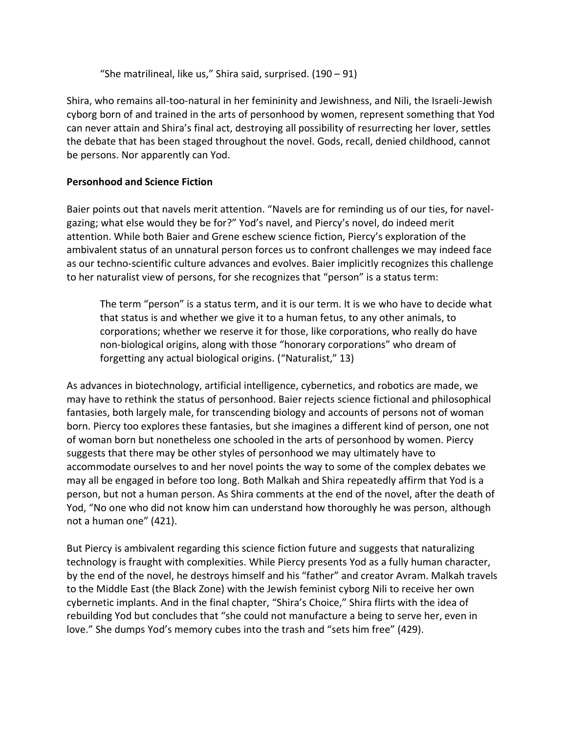"She matrilineal, like us," Shira said, surprised.  $(190 - 91)$ 

Shira, who remains all-too-natural in her femininity and Jewishness, and Nili, the Israeli-Jewish cyborg born of and trained in the arts of personhood by women, represent something that Yod can never attain and Shira's final act, destroying all possibility of resurrecting her lover, settles the debate that has been staged throughout the novel. Gods, recall, denied childhood, cannot be persons. Nor apparently can Yod.

## **Personhood and Science Fiction**

Baier points out that navels merit attention. "Navels are for reminding us of our ties, for navelgazing; what else would they be for?" Yod's navel, and Piercy's novel, do indeed merit attention. While both Baier and Grene eschew science fiction, Piercy's exploration of the ambivalent status of an unnatural person forces us to confront challenges we may indeed face as our techno-scientific culture advances and evolves. Baier implicitly recognizes this challenge to her naturalist view of persons, for she recognizes that "person" is a status term:

The term "person" is a status term, and it is our term. It is we who have to decide what that status is and whether we give it to a human fetus, to any other animals, to corporations; whether we reserve it for those, like corporations, who really do have non-biological origins, along with those "honorary corporations" who dream of forgetting any actual biological origins. ("Naturalist," 13)

As advances in biotechnology, artificial intelligence, cybernetics, and robotics are made, we may have to rethink the status of personhood. Baier rejects science fictional and philosophical fantasies, both largely male, for transcending biology and accounts of persons not of woman born. Piercy too explores these fantasies, but she imagines a different kind of person, one not of woman born but nonetheless one schooled in the arts of personhood by women. Piercy suggests that there may be other styles of personhood we may ultimately have to accommodate ourselves to and her novel points the way to some of the complex debates we may all be engaged in before too long. Both Malkah and Shira repeatedly affirm that Yod is a person, but not a human person. As Shira comments at the end of the novel, after the death of Yod, "No one who did not know him can understand how thoroughly he was person, although not a human one" (421).

But Piercy is ambivalent regarding this science fiction future and suggests that naturalizing technology is fraught with complexities. While Piercy presents Yod as a fully human character, by the end of the novel, he destroys himself and his "father" and creator Avram. Malkah travels to the Middle East (the Black Zone) with the Jewish feminist cyborg Nili to receive her own cybernetic implants. And in the final chapter, "Shira's Choice," Shira flirts with the idea of rebuilding Yod but concludes that "she could not manufacture a being to serve her, even in love." She dumps Yod's memory cubes into the trash and "sets him free" (429).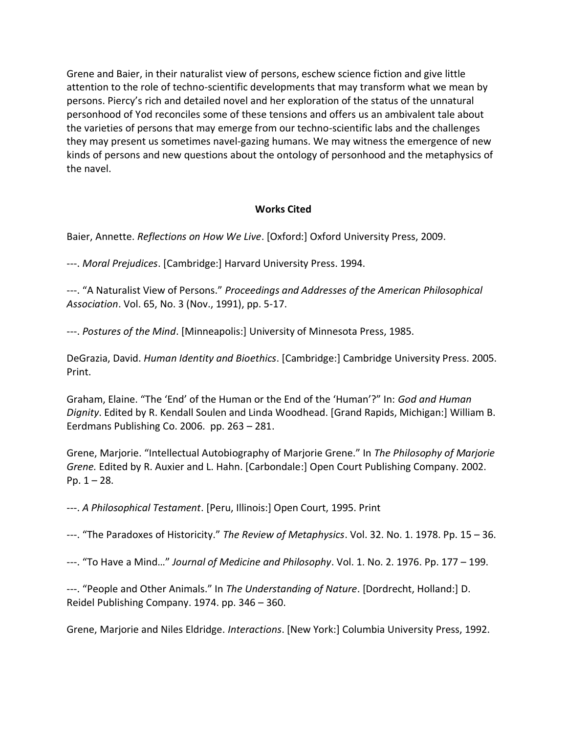Grene and Baier, in their naturalist view of persons, eschew science fiction and give little attention to the role of techno-scientific developments that may transform what we mean by persons. Piercy's rich and detailed novel and her exploration of the status of the unnatural personhood of Yod reconciles some of these tensions and offers us an ambivalent tale about the varieties of persons that may emerge from our techno-scientific labs and the challenges they may present us sometimes navel-gazing humans. We may witness the emergence of new kinds of persons and new questions about the ontology of personhood and the metaphysics of the navel.

### **Works Cited**

Baier, Annette. *Reflections on How We Live*. [Oxford:] Oxford University Press, 2009.

---. *Moral Prejudices*. [Cambridge:] Harvard University Press. 1994.

---. "A Naturalist View of Persons." *Proceedings and Addresses of the American Philosophical Association*. Vol. 65, No. 3 (Nov., 1991), pp. 5-17.

---. *Postures of the Mind*. [Minneapolis:] University of Minnesota Press, 1985.

DeGrazia, David. *Human Identity and Bioethics*. [Cambridge:] Cambridge University Press. 2005. Print.

Graham, Elaine. "The 'End' of the Human or the End of the 'Human'?" In: *God and Human Dignity*. Edited by R. Kendall Soulen and Linda Woodhead. [Grand Rapids, Michigan:] William B. Eerdmans Publishing Co. 2006. pp. 263 – 281.

Grene, Marjorie. "Intellectual Autobiography of Marjorie Grene." In *The Philosophy of Marjorie Grene.* Edited by R. Auxier and L. Hahn. [Carbondale:] Open Court Publishing Company. 2002. Pp.  $1 - 28$ .

---. *A Philosophical Testament*. [Peru, Illinois:] Open Court, 1995. Print

---. "The Paradoxes of Historicity." *The Review of Metaphysics*. Vol. 32. No. 1. 1978. Pp. 15 – 36.

---. "To Have a Mind…" *Journal of Medicine and Philosophy*. Vol. 1. No. 2. 1976. Pp. 177 – 199.

---. "People and Other Animals." In *The Understanding of Nature*. [Dordrecht, Holland:] D. Reidel Publishing Company. 1974. pp. 346 – 360.

Grene, Marjorie and Niles Eldridge. *Interactions*. [New York:] Columbia University Press, 1992.